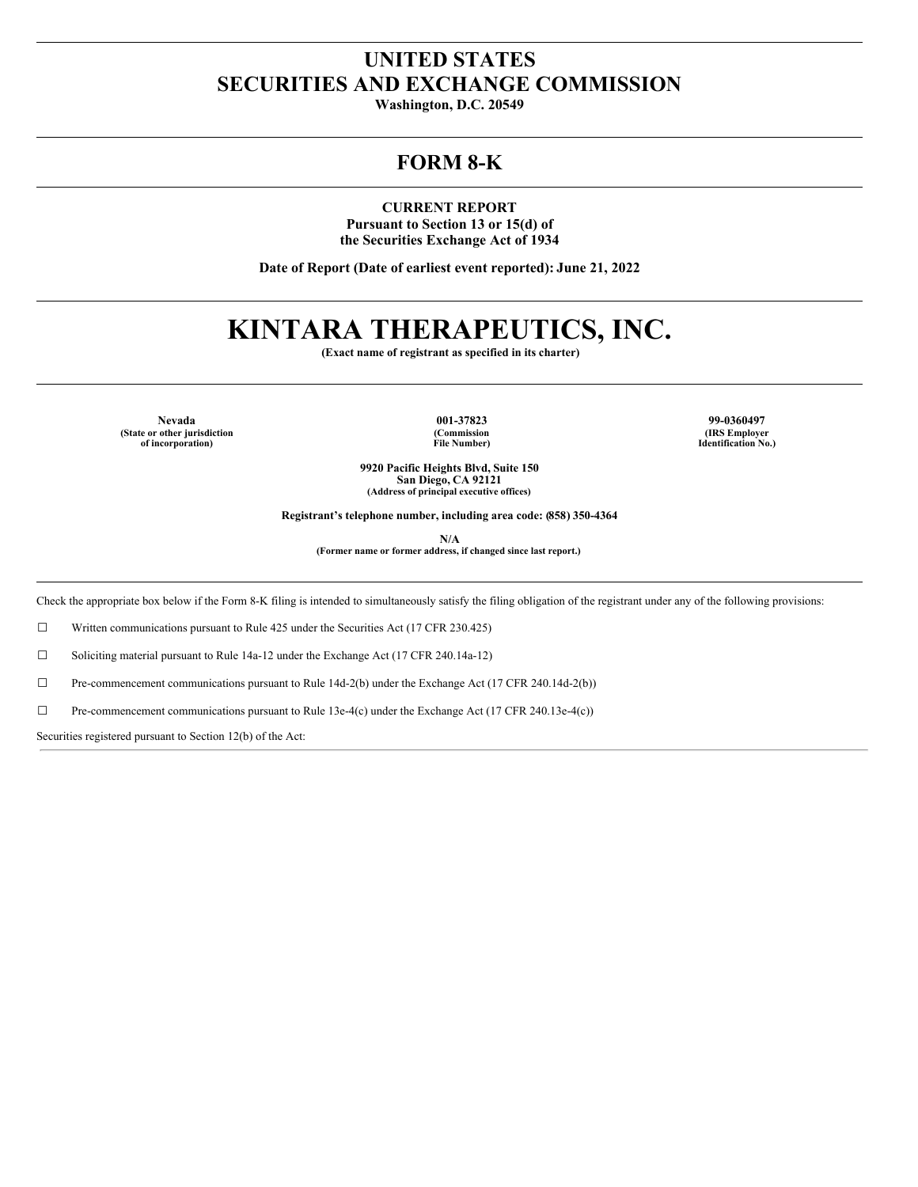## **UNITED STATES SECURITIES AND EXCHANGE COMMISSION**

**Washington, D.C. 20549**

## **FORM 8-K**

**CURRENT REPORT Pursuant to Section 13 or 15(d) of the Securities Exchange Act of 1934**

**Date of Report (Date of earliest event reported): June 21, 2022**

# **KINTARA THERAPEUTICS, INC.**

**(Exact name of registrant as specified in its charter)**

**Nevada 001-37823 99-0360497 (State or other jurisdiction of incorporation)**

**(Commission File Number)**

**(IRS Employer Identification No.)**

**9920 Pacific Heights Blvd, Suite 150 San Diego, CA 92121 (Address of principal executive offices)**

**Registrant's telephone number, including area code: (858) 350-4364**

**N/A**

**(Former name or former address, if changed since last report.)**

Check the appropriate box below if the Form 8-K filing is intended to simultaneously satisfy the filing obligation of the registrant under any of the following provisions:

☐ Written communications pursuant to Rule 425 under the Securities Act (17 CFR 230.425)

☐ Soliciting material pursuant to Rule 14a-12 under the Exchange Act (17 CFR 240.14a-12)

☐ Pre-commencement communications pursuant to Rule 14d-2(b) under the Exchange Act (17 CFR 240.14d-2(b))

 $\Box$  Pre-commencement communications pursuant to Rule 13e-4(c) under the Exchange Act (17 CFR 240.13e-4(c))

Securities registered pursuant to Section 12(b) of the Act: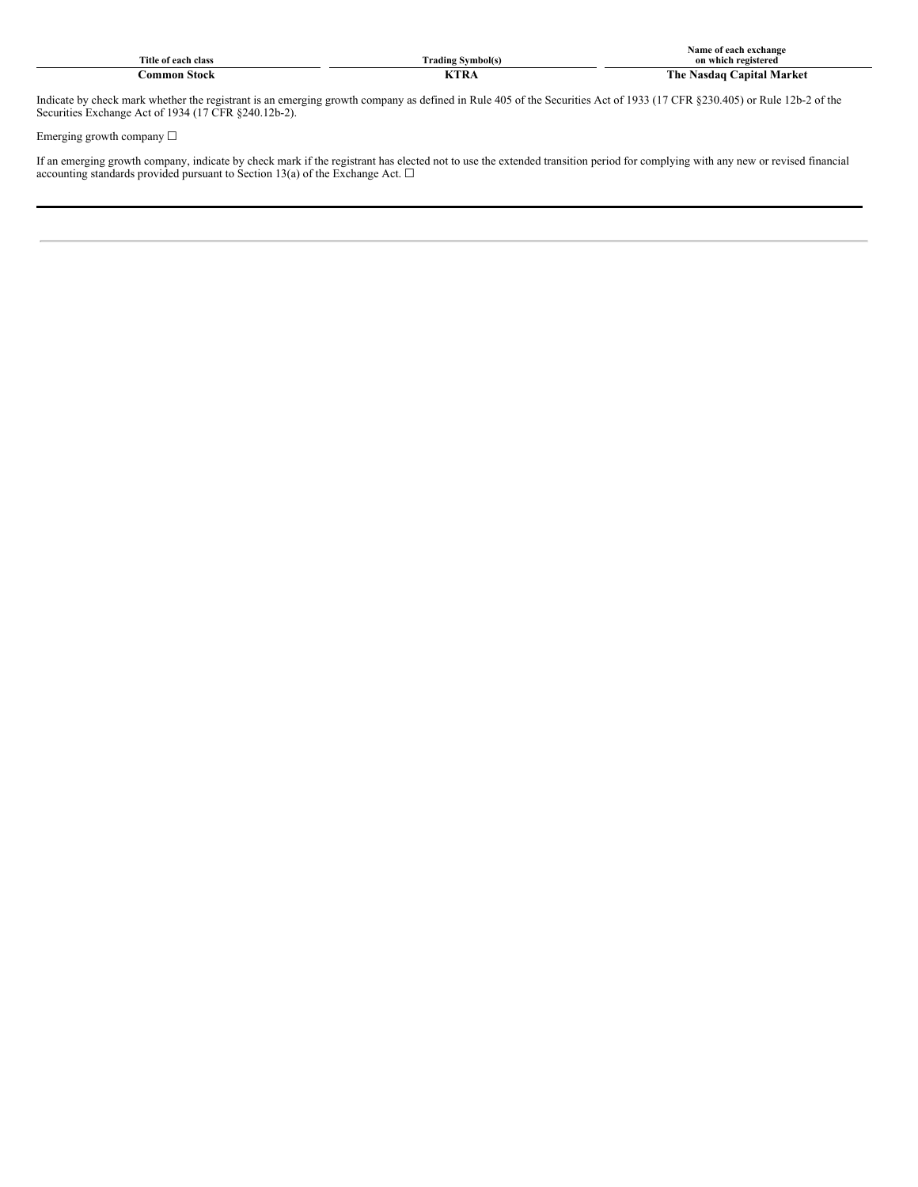| <b>Title</b><br>of each class | $\sim$<br>/mbol(s)<br>. Cores b<br>Frading<br>∼. | ach exchango<br>Name<br>nt es<br>on<br>registered |
|-------------------------------|--------------------------------------------------|---------------------------------------------------|
| ommon<br>stock                | $T$ <b>TR</b> $\sim$                             | Vlarke<br>Nasdaa<br>∡ ne -<br>anıta'              |

Indicate by check mark whether the registrant is an emerging growth company as defined in Rule 405 of the Securities Act of 1933 (17 CFR §230.405) or Rule 12b-2 of the Securities Exchange Act of 1934 (17 CFR §240.12b-2).

Emerging growth company  $\Box$ 

If an emerging growth company, indicate by check mark if the registrant has elected not to use the extended transition period for complying with any new or revised financial accounting standards provided pursuant to Section 13(a) of the Exchange Act.  $\Box$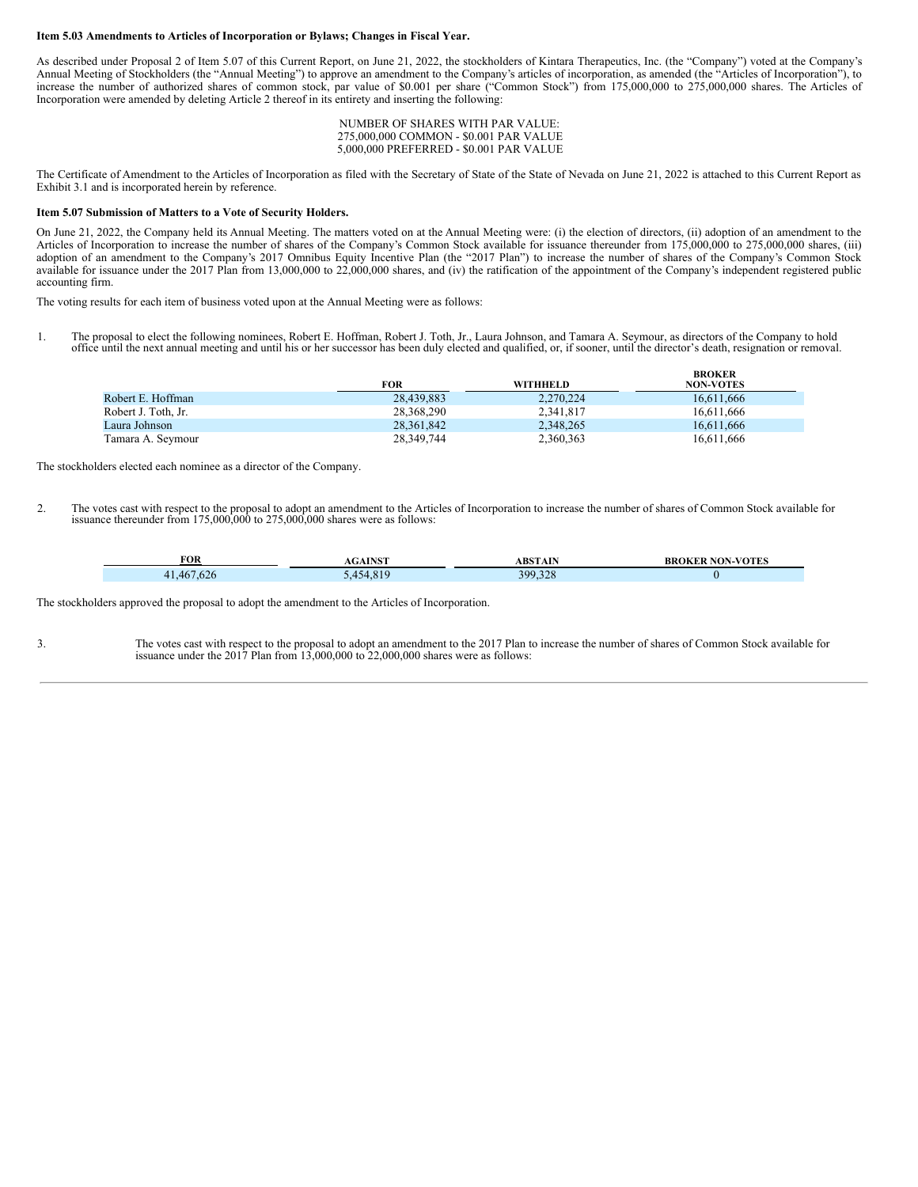#### **Item 5.03 Amendments to Articles of Incorporation or Bylaws; Changes in Fiscal Year.**

As described under Proposal 2 of Item 5.07 of this Current Report, on June 21, 2022, the stockholders of Kintara Therapeutics, Inc. (the "Company") voted at the Company's Annual Meeting of Stockholders (the "Annual Meeting") to approve an amendment to the Company's articles of incorporation, as amended (the "Articles of Incorporation"), to increase the number of authorized shares of common stock, par value of \$0.001 per share ("Common Stock") from 175,000,000 to 275,000,000 shares. The Articles of Incorporation were amended by deleting Article 2 thereof in its entirety and inserting the following:

> NUMBER OF SHARES WITH PAR VALUE: 275,000,000 COMMON - \$0.001 PAR VALUE 5,000,000 PREFERRED - \$0.001 PAR VALUE

The Certificate of Amendment to the Articles of Incorporation as filed with the Secretary of State of the State of Nevada on June 21, 2022 is attached to this Current Report as Exhibit 3.1 and is incorporated herein by reference.

#### **Item 5.07 Submission of Matters to a Vote of Security Holders.**

On June 21, 2022, the Company held its Annual Meeting. The matters voted on at the Annual Meeting were: (i) the election of directors, (ii) adoption of an amendment to the Articles of Incorporation to increase the number of shares of the Company's Common Stock available for issuance thereunder from 175,000,000 to 275,000,000 shares, (iii) adoption of an amendment to the Company's 2017 Omnibus Equity Incentive Plan (the "2017 Plan") to increase the number of shares of the Company's Common Stock available for issuance under the 2017 Plan from 13,000,000 to 22,000,000 shares, and (iv) the ratification of the appointment of the Company's independent registered public accounting firm.

The voting results for each item of business voted upon at the Annual Meeting were as follows:

1. The proposal to elect the following nominees, Robert E. Hoffman, Robert J. Toth, Jr., Laura Johnson, and Tamara A. Seymour, as directors of the Company to hold office until the next annual meeting and until his or her successor has been duly elected and qualified, or, if sooner, until the director's death, resignation or removal.

|                     | FOR        | <b>WITHHELD</b> | DRUNER<br><b>NON-VOTES</b> |  |
|---------------------|------------|-----------------|----------------------------|--|
| Robert E. Hoffman   | 28.439.883 | 2.270.224       | 16.611.666                 |  |
| Robert J. Toth, Jr. | 28,368,290 | 2,341,817       | 16.611.666                 |  |
| Laura Johnson       | 28.361.842 | 2,348,265       | 16.611.666                 |  |
| Tamara A. Seymour   | 28,349,744 | 2,360,363       | 16.611.666                 |  |

**BROKER**

The stockholders elected each nominee as a director of the Company.

2. The votes cast with respect to the proposal to adopt an amendment to the Articles of Incorporation to increase the number of shares of Common Stock available for issuance thereunder from 175,000,000 to 275,000,000 shares were as follows:

| FOR                              | <b>TATOR</b> | <b>ABSTAIN</b>        | <b>NON-VOTES</b> |
|----------------------------------|--------------|-----------------------|------------------|
|                                  | .            |                       | BR               |
| $\sqrt{2}$<br>467<br>41.<br>.b2t | 77           | 220<br>399<br>399.328 |                  |

The stockholders approved the proposal to adopt the amendment to the Articles of Incorporation.

3. The votes cast with respect to the proposal to adopt an amendment to the 2017 Plan to increase the number of shares of Common Stock available for issuance under the 2017 Plan from 13,000,000 to 22,000,000 shares were as follows: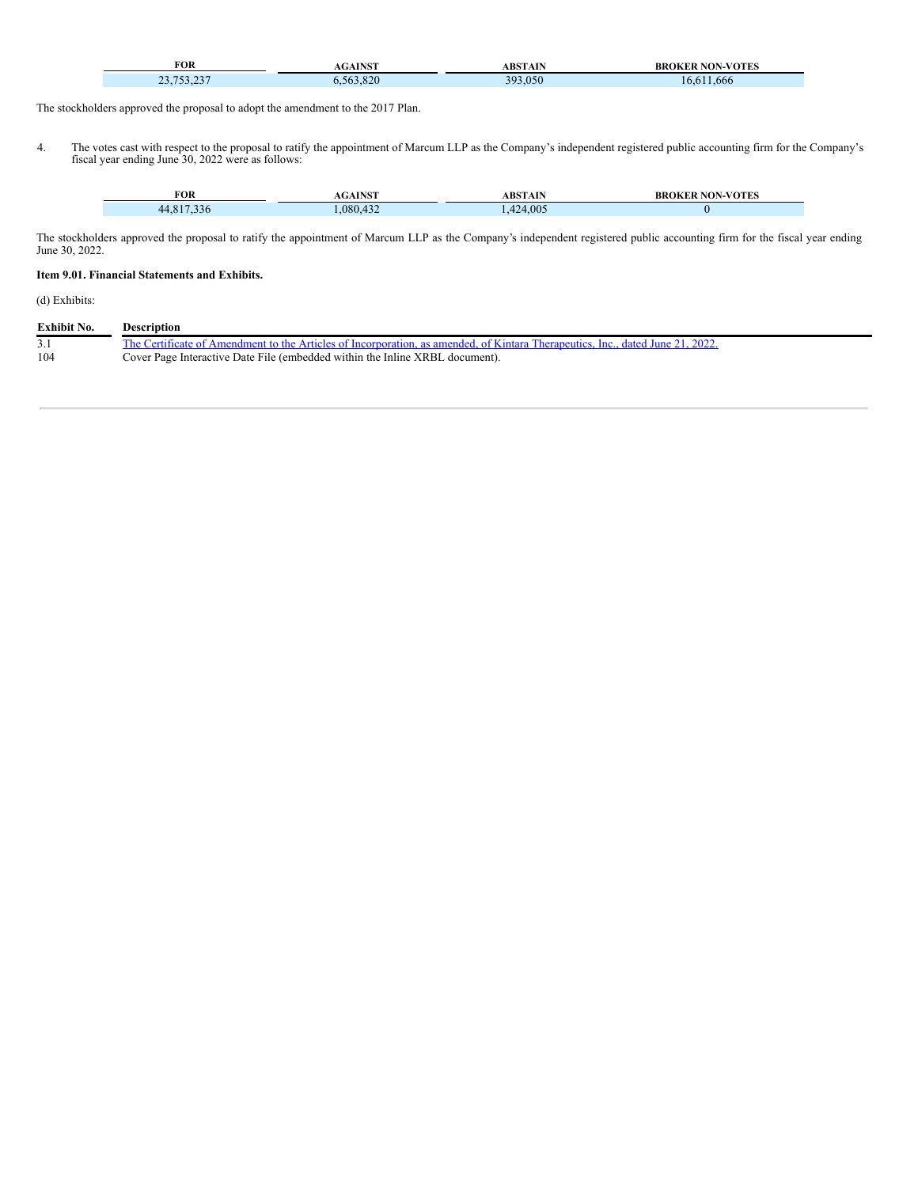|                                                                                                                                                                    |              |         | VOTES |
|--------------------------------------------------------------------------------------------------------------------------------------------------------------------|--------------|---------|-------|
| FOR                                                                                                                                                                | <b>TATOR</b> | ARSTAIN | BF    |
| <b>Contract Contract Contract Contract Contract Contract Contract Contract Contract Contract Contract Contract Co</b><br>$\Delta \Delta F$<br>752<br>$\sim$<br>، ب | 020<br>٦n    | 050     | 666   |

The stockholders approved the proposal to adopt the amendment to the 2017 Plan.

4. The votes cast with respect to the proposal to ratify the appointment of Marcum LLP as the Company's independent registered public accounting firm for the Company's fiscal year ending June 30, 2022 were as follows:

| FOR                                     | <b>A TAICT</b>      | ABSTAIN | ROKER NON-VOTES<br>BR |
|-----------------------------------------|---------------------|---------|-----------------------|
| $\sim$ $\sim$ $\sim$<br>44.817<br>- 550 | $\sqrt{2}$<br>080.4 | 424,005 |                       |

The stockholders approved the proposal to ratify the appointment of Marcum LLP as the Company's independent registered public accounting firm for the fiscal year ending June 30, 2022.

### **Item 9.01. Financial Statements and Exhibits.**

Ŧ

(d) Exhibits:

| <b>Exhibit No.</b> | <b>Description</b>                                                                                                             |
|--------------------|--------------------------------------------------------------------------------------------------------------------------------|
|                    | The Certificate of Amendment to the Articles of Incorporation, as amended, of Kintara Therapeutics, Inc., dated June 21, 2022. |
| 104                | Cover Page Interactive Date File (embedded within the Inline XRBL document).                                                   |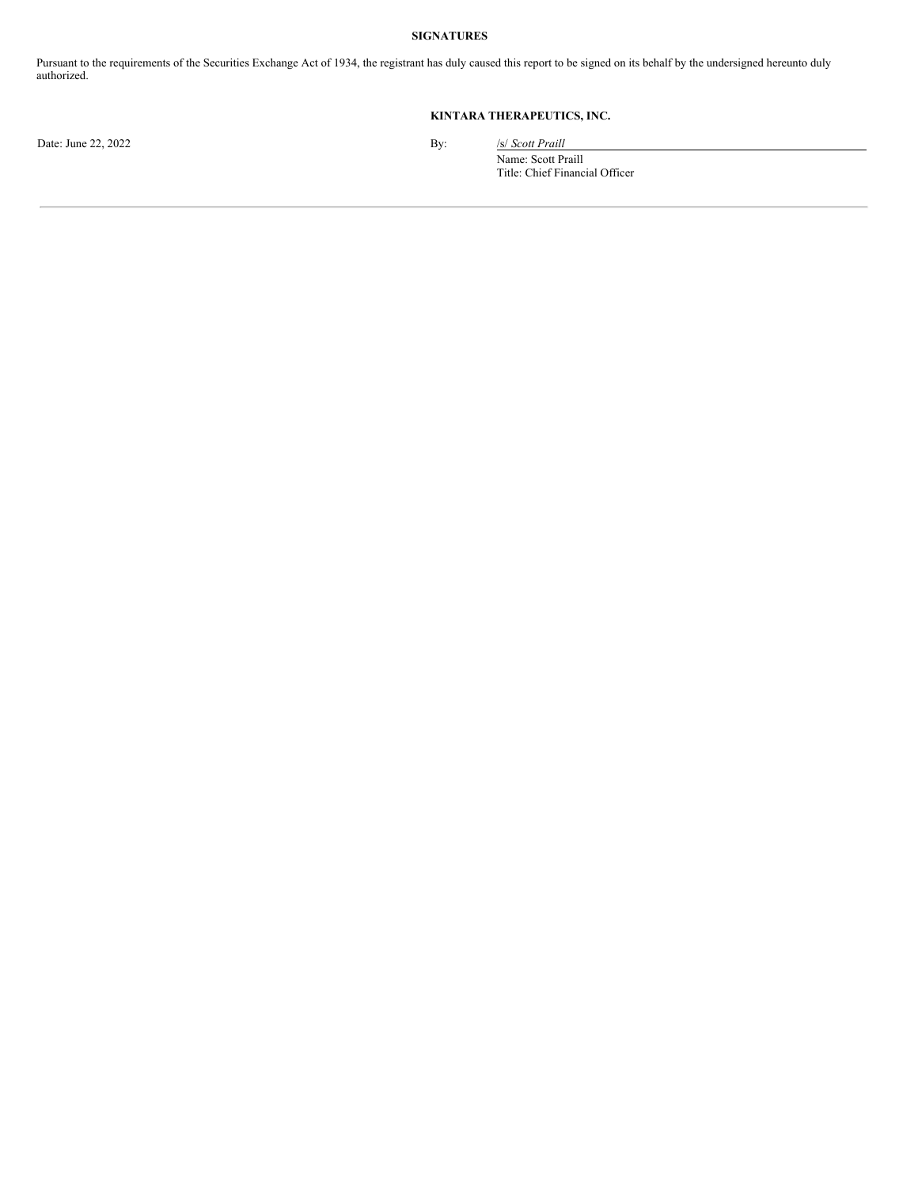#### **SIGNATURES**

Pursuant to the requirements of the Securities Exchange Act of 1934, the registrant has duly caused this report to be signed on its behalf by the undersigned hereunto duly authorized.

### **KINTARA THERAPEUTICS, INC.**

Date: June 22, 2022 By: /s/ *Scott Praill* 

Name: Scott Praill Title: Chief Financial Officer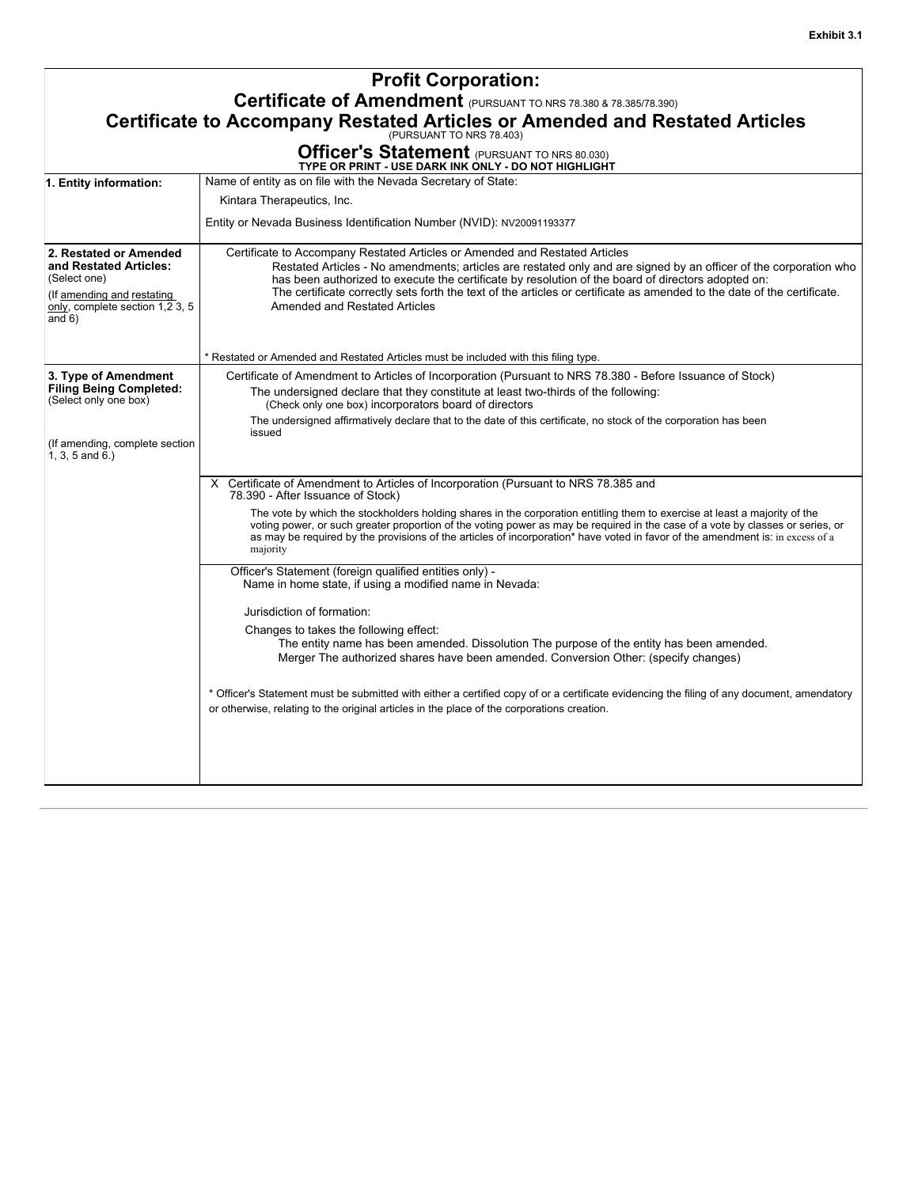|                                                                                                                                               | <b>Profit Corporation:</b>                                                                                                                                                                                                                                                                                                                                                                                                                                                |  |  |
|-----------------------------------------------------------------------------------------------------------------------------------------------|---------------------------------------------------------------------------------------------------------------------------------------------------------------------------------------------------------------------------------------------------------------------------------------------------------------------------------------------------------------------------------------------------------------------------------------------------------------------------|--|--|
| Certificate of Amendment (PURSUANT TO NRS 78.380 & 78.385/78.390)                                                                             |                                                                                                                                                                                                                                                                                                                                                                                                                                                                           |  |  |
|                                                                                                                                               |                                                                                                                                                                                                                                                                                                                                                                                                                                                                           |  |  |
|                                                                                                                                               | <b>Certificate to Accompany Restated Articles or Amended and Restated Articles</b>                                                                                                                                                                                                                                                                                                                                                                                        |  |  |
|                                                                                                                                               | <b>Officer's Statement</b> (PURSUANT TO NRS 80.030)<br>TYPE OR PRINT - USE DARK INK ONLY - DO NOT HIGHLIGHT                                                                                                                                                                                                                                                                                                                                                               |  |  |
| 1. Entity information:                                                                                                                        | Name of entity as on file with the Nevada Secretary of State:                                                                                                                                                                                                                                                                                                                                                                                                             |  |  |
|                                                                                                                                               | Kintara Therapeutics, Inc.                                                                                                                                                                                                                                                                                                                                                                                                                                                |  |  |
|                                                                                                                                               | Entity or Nevada Business Identification Number (NVID): NV20091193377                                                                                                                                                                                                                                                                                                                                                                                                     |  |  |
| 2. Restated or Amended<br>and Restated Articles:<br>(Select one)<br>(If amending and restating<br>only, complete section 1,2 3, 5<br>and $6)$ | Certificate to Accompany Restated Articles or Amended and Restated Articles<br>Restated Articles - No amendments; articles are restated only and are signed by an officer of the corporation who<br>has been authorized to execute the certificate by resolution of the board of directors adopted on:<br>The certificate correctly sets forth the text of the articles or certificate as amended to the date of the certificate.<br><b>Amended and Restated Articles</b> |  |  |
|                                                                                                                                               | * Restated or Amended and Restated Articles must be included with this filing type.                                                                                                                                                                                                                                                                                                                                                                                       |  |  |
| 3. Type of Amendment                                                                                                                          | Certificate of Amendment to Articles of Incorporation (Pursuant to NRS 78.380 - Before Issuance of Stock)                                                                                                                                                                                                                                                                                                                                                                 |  |  |
| <b>Filing Being Completed:</b><br>(Select only one box)                                                                                       | The undersigned declare that they constitute at least two-thirds of the following:                                                                                                                                                                                                                                                                                                                                                                                        |  |  |
|                                                                                                                                               | (Check only one box) incorporators board of directors<br>The undersigned affirmatively declare that to the date of this certificate, no stock of the corporation has been                                                                                                                                                                                                                                                                                                 |  |  |
| (If amending, complete section<br>$1, 3, 5$ and $6.)$                                                                                         | issued                                                                                                                                                                                                                                                                                                                                                                                                                                                                    |  |  |
|                                                                                                                                               | X Certificate of Amendment to Articles of Incorporation (Pursuant to NRS 78.385 and<br>78.390 - After Issuance of Stock)                                                                                                                                                                                                                                                                                                                                                  |  |  |
|                                                                                                                                               | The vote by which the stockholders holding shares in the corporation entitling them to exercise at least a majority of the<br>voting power, or such greater proportion of the voting power as may be required in the case of a vote by classes or series, or<br>as may be required by the provisions of the articles of incorporation* have voted in favor of the amendment is: in excess of a<br>majority                                                                |  |  |
|                                                                                                                                               | Officer's Statement (foreign qualified entities only) -<br>Name in home state, if using a modified name in Nevada:                                                                                                                                                                                                                                                                                                                                                        |  |  |
|                                                                                                                                               | Jurisdiction of formation:                                                                                                                                                                                                                                                                                                                                                                                                                                                |  |  |
|                                                                                                                                               | Changes to takes the following effect:<br>The entity name has been amended. Dissolution The purpose of the entity has been amended.<br>Merger The authorized shares have been amended. Conversion Other: (specify changes)                                                                                                                                                                                                                                                |  |  |
|                                                                                                                                               | * Officer's Statement must be submitted with either a certified copy of or a certificate evidencing the filing of any document, amendatory<br>or otherwise, relating to the original articles in the place of the corporations creation.                                                                                                                                                                                                                                  |  |  |
|                                                                                                                                               |                                                                                                                                                                                                                                                                                                                                                                                                                                                                           |  |  |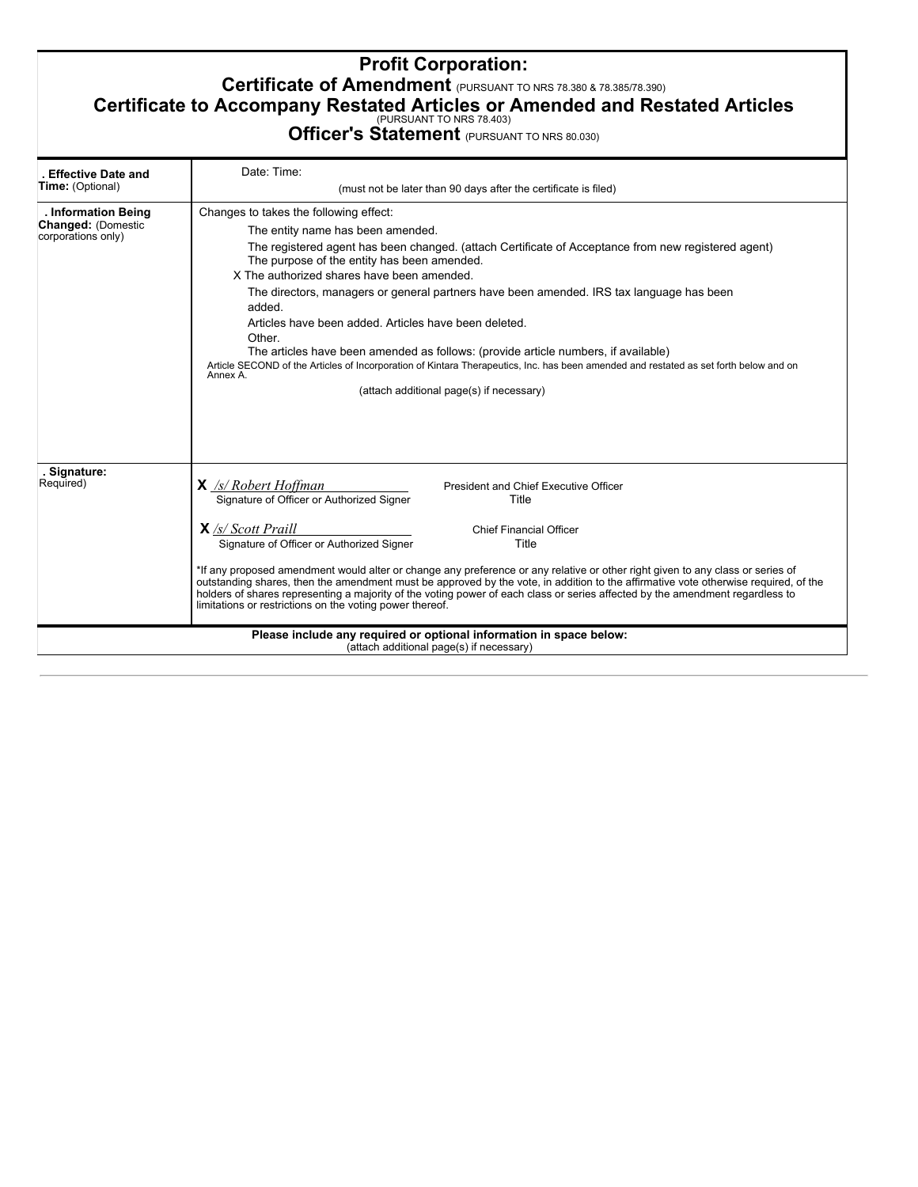# **Profit Corporation: Certificate of Amendment** (PURSUANT TO NRS 78.380 & 78.385/78.390) **Certificate to Accompany Restated Articles or Amended and Restated Articles**<br>Officer's Statement (PURSUANT TO NRS 80.030)

| . Effective Date and                                                   | Date: Time:                                                                                                                                                                                                                                                                                                                                                                                                                                                                                                                                                                                                                                                                                                                                     |
|------------------------------------------------------------------------|-------------------------------------------------------------------------------------------------------------------------------------------------------------------------------------------------------------------------------------------------------------------------------------------------------------------------------------------------------------------------------------------------------------------------------------------------------------------------------------------------------------------------------------------------------------------------------------------------------------------------------------------------------------------------------------------------------------------------------------------------|
| <b>Time:</b> (Optional)                                                | (must not be later than 90 days after the certificate is filed)                                                                                                                                                                                                                                                                                                                                                                                                                                                                                                                                                                                                                                                                                 |
| . Information Being<br><b>Changed: (Domestic</b><br>corporations only) | Changes to takes the following effect:<br>The entity name has been amended.<br>The registered agent has been changed. (attach Certificate of Acceptance from new registered agent)<br>The purpose of the entity has been amended.<br>X The authorized shares have been amended.<br>The directors, managers or general partners have been amended. IRS tax language has been<br>added.<br>Articles have been added. Articles have been deleted.<br>Other.<br>The articles have been amended as follows: (provide article numbers, if available)<br>Article SECOND of the Articles of Incorporation of Kintara Therapeutics, Inc. has been amended and restated as set forth below and on<br>Annex A.<br>(attach additional page(s) if necessary) |
| Signature:<br>Required)                                                | $X_{\frac{1}{s}}$ Robert Hoffman<br><b>President and Chief Executive Officer</b><br>Signature of Officer or Authorized Signer<br>Title<br>$X$ /s/ Scott Praill<br><b>Chief Financial Officer</b><br>Signature of Officer or Authorized Signer<br>Title<br>*If any proposed amendment would alter or change any preference or any relative or other right given to any class or series of<br>outstanding shares, then the amendment must be approved by the vote, in addition to the affirmative vote otherwise required, of the<br>holders of shares representing a majority of the voting power of each class or series affected by the amendment regardless to<br>limitations or restrictions on the voting power thereof.                    |
|                                                                        | Please include any required or optional information in space below:<br>(attach additional page(s) if necessary)                                                                                                                                                                                                                                                                                                                                                                                                                                                                                                                                                                                                                                 |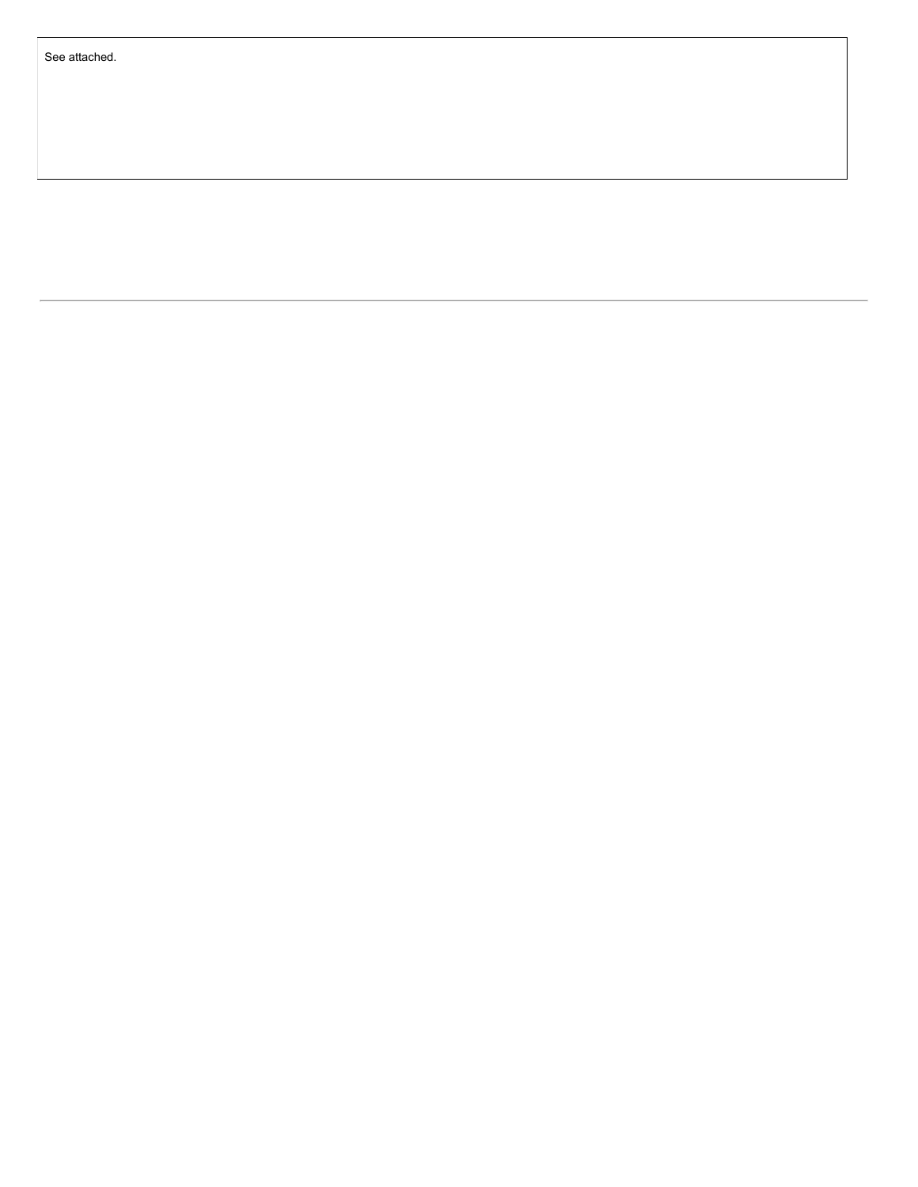<span id="page-8-0"></span>See attached.